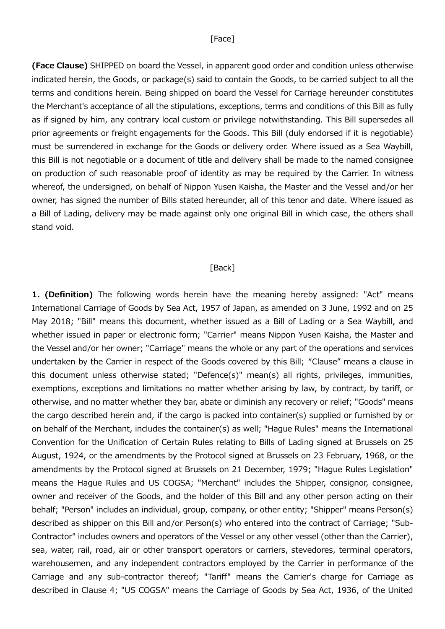## [Face]

(Face Clause) SHIPPED on board the Vessel, in apparent good order and condition unless otherwise indicated herein, the Goods, or package(s) said to contain the Goods, to be carried subject to all the terms and conditions herein. Being shipped on board the Vessel for Carriage hereunder constitutes the Merchant's acceptance of all the stipulations, exceptions, terms and conditions of this Bill as fully as if signed by him, any contrary local custom or privilege notwithstanding. This Bill supersedes all prior agreements or freight engagements for the Goods. This Bill (duly endorsed if it is negotiable) must be surrendered in exchange for the Goods or delivery order. Where issued as a Sea Waybill, this Bill is not negotiable or a document of title and delivery shall be made to the named consignee on production of such reasonable proof of identity as may be required by the Carrier. In witness whereof, the undersigned, on behalf of Nippon Yusen Kaisha, the Master and the Vessel and/or her owner, has signed the number of Bills stated hereunder, all of this tenor and date. Where issued as a Bill of Lading, delivery may be made against only one original Bill in which case, the others shall stand void.

## [Back]

1. (Definition) The following words herein have the meaning hereby assigned: "Act" means International Carriage of Goods by Sea Act, 1957 of Japan, as amended on 3 June, 1992 and on 25 May 2018; "Bill" means this document, whether issued as a Bill of Lading or a Sea Waybill, and whether issued in paper or electronic form; "Carrier" means Nippon Yusen Kaisha, the Master and the Vessel and/or her owner; "Carriage" means the whole or any part of the operations and services undertaken by the Carrier in respect of the Goods covered by this Bill; "Clause" means a clause in this document unless otherwise stated; "Defence(s)" mean(s) all rights, privileges, immunities, exemptions, exceptions and limitations no matter whether arising by law, by contract, by tariff, or otherwise, and no matter whether they bar, abate or diminish any recovery or relief; "Goods" means the cargo described herein and, if the cargo is packed into container(s) supplied or furnished by or on behalf of the Merchant, includes the container(s) as well; "Hague Rules" means the International Convention for the Unification of Certain Rules relating to Bills of Lading signed at Brussels on 25 August, 1924, or the amendments by the Protocol signed at Brussels on 23 February, 1968, or the amendments by the Protocol signed at Brussels on 21 December, 1979; "Hague Rules Legislation" means the Hague Rules and US COGSA; "Merchant" includes the Shipper, consignor, consignee, owner and receiver of the Goods, and the holder of this Bill and any other person acting on their behalf; "Person" includes an individual, group, company, or other entity; "Shipper" means Person(s) described as shipper on this Bill and/or Person(s) who entered into the contract of Carriage; "Sub-Contractor" includes owners and operators of the Vessel or any other vessel (other than the Carrier), sea, water, rail, road, air or other transport operators or carriers, stevedores, terminal operators, warehousemen, and any independent contractors employed by the Carrier in performance of the Carriage and any sub-contractor thereof; "Tariff" means the Carrier's charge for Carriage as described in Clause 4; "US COGSA" means the Carriage of Goods by Sea Act, 1936, of the United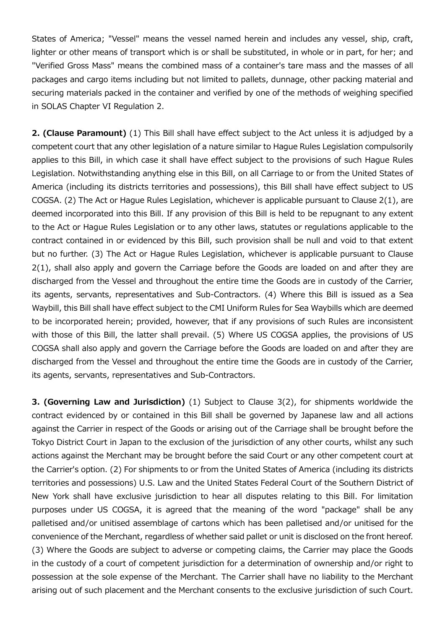States of America; "Vessel" means the vessel named herein and includes any vessel, ship, craft, lighter or other means of transport which is or shall be substituted, in whole or in part, for her; and "Verified Gross Mass" means the combined mass of a container's tare mass and the masses of all packages and cargo items including but not limited to pallets, dunnage, other packing material and securing materials packed in the container and verified by one of the methods of weighing specified in SOLAS Chapter VI Regulation 2.

2. (Clause Paramount) (1) This Bill shall have effect subject to the Act unless it is adjudged by a competent court that any other legislation of a nature similar to Hague Rules Legislation compulsorily applies to this Bill, in which case it shall have effect subject to the provisions of such Hague Rules Legislation. Notwithstanding anything else in this Bill, on all Carriage to or from the United States of America (including its districts territories and possessions), this Bill shall have effect subject to US COGSA. (2) The Act or Hague Rules Legislation, whichever is applicable pursuant to Clause 2(1), are deemed incorporated into this Bill. If any provision of this Bill is held to be repugnant to any extent to the Act or Hague Rules Legislation or to any other laws, statutes or regulations applicable to the contract contained in or evidenced by this Bill, such provision shall be null and void to that extent but no further. (3) The Act or Hague Rules Legislation, whichever is applicable pursuant to Clause 2(1), shall also apply and govern the Carriage before the Goods are loaded on and after they are discharged from the Vessel and throughout the entire time the Goods are in custody of the Carrier, its agents, servants, representatives and Sub-Contractors. (4) Where this Bill is issued as a Sea Waybill, this Bill shall have effect subject to the CMI Uniform Rules for Sea Waybills which are deemed to be incorporated herein; provided, however, that if any provisions of such Rules are inconsistent with those of this Bill, the latter shall prevail. (5) Where US COGSA applies, the provisions of US COGSA shall also apply and govern the Carriage before the Goods are loaded on and after they are discharged from the Vessel and throughout the entire time the Goods are in custody of the Carrier, its agents, servants, representatives and Sub-Contractors.

3. (Governing Law and Jurisdiction) (1) Subject to Clause 3(2), for shipments worldwide the contract evidenced by or contained in this Bill shall be governed by Japanese law and all actions against the Carrier in respect of the Goods or arising out of the Carriage shall be brought before the Tokyo District Court in Japan to the exclusion of the jurisdiction of any other courts, whilst any such actions against the Merchant may be brought before the said Court or any other competent court at the Carrier's option. (2) For shipments to or from the United States of America (including its districts territories and possessions) U.S. Law and the United States Federal Court of the Southern District of New York shall have exclusive jurisdiction to hear all disputes relating to this Bill. For limitation purposes under US COGSA, it is agreed that the meaning of the word "package" shall be any palletised and/or unitised assemblage of cartons which has been palletised and/or unitised for the convenience of the Merchant, regardless of whether said pallet or unit is disclosed on the front hereof. (3) Where the Goods are subject to adverse or competing claims, the Carrier may place the Goods in the custody of a court of competent jurisdiction for a determination of ownership and/or right to possession at the sole expense of the Merchant. The Carrier shall have no liability to the Merchant arising out of such placement and the Merchant consents to the exclusive jurisdiction of such Court.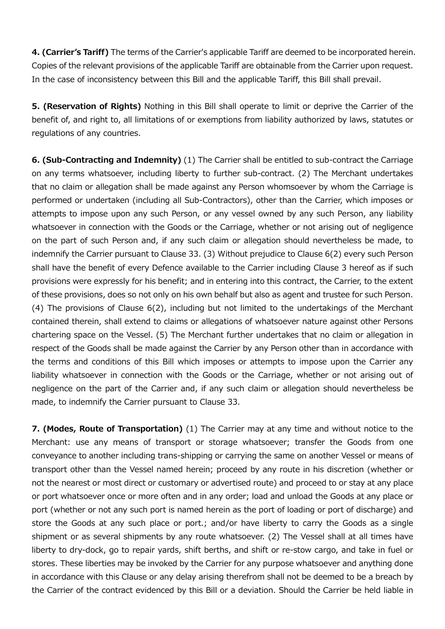4. (Carrier's Tariff) The terms of the Carrier's applicable Tariff are deemed to be incorporated herein. Copies of the relevant provisions of the applicable Tariff are obtainable from the Carrier upon request. In the case of inconsistency between this Bill and the applicable Tariff, this Bill shall prevail.

5. (Reservation of Rights) Nothing in this Bill shall operate to limit or deprive the Carrier of the benefit of, and right to, all limitations of or exemptions from liability authorized by laws, statutes or regulations of any countries.

6. (Sub-Contracting and Indemnity) (1) The Carrier shall be entitled to sub-contract the Carriage on any terms whatsoever, including liberty to further sub-contract. (2) The Merchant undertakes that no claim or allegation shall be made against any Person whomsoever by whom the Carriage is performed or undertaken (including all Sub-Contractors), other than the Carrier, which imposes or attempts to impose upon any such Person, or any vessel owned by any such Person, any liability whatsoever in connection with the Goods or the Carriage, whether or not arising out of negligence on the part of such Person and, if any such claim or allegation should nevertheless be made, to indemnify the Carrier pursuant to Clause 33. (3) Without prejudice to Clause 6(2) every such Person shall have the benefit of every Defence available to the Carrier including Clause 3 hereof as if such provisions were expressly for his benefit; and in entering into this contract, the Carrier, to the extent of these provisions, does so not only on his own behalf but also as agent and trustee for such Person. (4) The provisions of Clause 6(2), including but not limited to the undertakings of the Merchant contained therein, shall extend to claims or allegations of whatsoever nature against other Persons chartering space on the Vessel. (5) The Merchant further undertakes that no claim or allegation in respect of the Goods shall be made against the Carrier by any Person other than in accordance with the terms and conditions of this Bill which imposes or attempts to impose upon the Carrier any liability whatsoever in connection with the Goods or the Carriage, whether or not arising out of negligence on the part of the Carrier and, if any such claim or allegation should nevertheless be made, to indemnify the Carrier pursuant to Clause 33.

7. (Modes, Route of Transportation) (1) The Carrier may at any time and without notice to the Merchant: use any means of transport or storage whatsoever; transfer the Goods from one conveyance to another including trans-shipping or carrying the same on another Vessel or means of transport other than the Vessel named herein; proceed by any route in his discretion (whether or not the nearest or most direct or customary or advertised route) and proceed to or stay at any place or port whatsoever once or more often and in any order; load and unload the Goods at any place or port (whether or not any such port is named herein as the port of loading or port of discharge) and store the Goods at any such place or port.; and/or have liberty to carry the Goods as a single shipment or as several shipments by any route whatsoever. (2) The Vessel shall at all times have liberty to dry-dock, go to repair yards, shift berths, and shift or re-stow cargo, and take in fuel or stores. These liberties may be invoked by the Carrier for any purpose whatsoever and anything done in accordance with this Clause or any delay arising therefrom shall not be deemed to be a breach by the Carrier of the contract evidenced by this Bill or a deviation. Should the Carrier be held liable in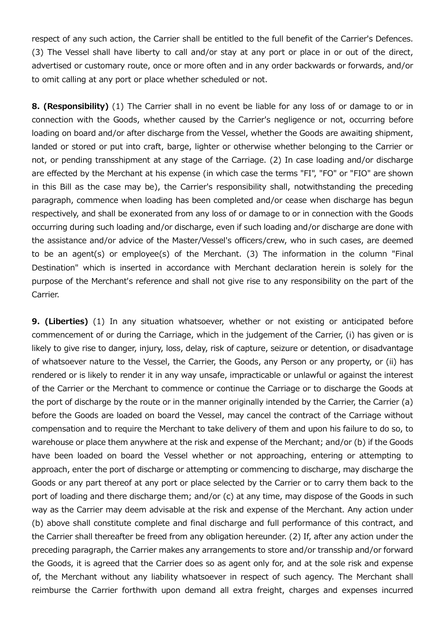respect of any such action, the Carrier shall be entitled to the full benefit of the Carrier's Defences. (3) The Vessel shall have liberty to call and/or stay at any port or place in or out of the direct, advertised or customary route, once or more often and in any order backwards or forwards, and/or to omit calling at any port or place whether scheduled or not.

8. (Responsibility) (1) The Carrier shall in no event be liable for any loss of or damage to or in connection with the Goods, whether caused by the Carrier's negligence or not, occurring before loading on board and/or after discharge from the Vessel, whether the Goods are awaiting shipment, landed or stored or put into craft, barge, lighter or otherwise whether belonging to the Carrier or not, or pending transshipment at any stage of the Carriage. (2) In case loading and/or discharge are effected by the Merchant at his expense (in which case the terms "FI", "FO" or "FIO" are shown in this Bill as the case may be), the Carrier's responsibility shall, notwithstanding the preceding paragraph, commence when loading has been completed and/or cease when discharge has begun respectively, and shall be exonerated from any loss of or damage to or in connection with the Goods occurring during such loading and/or discharge, even if such loading and/or discharge are done with the assistance and/or advice of the Master/Vessel's officers/crew, who in such cases, are deemed to be an agent(s) or employee(s) of the Merchant. (3) The information in the column "Final Destination" which is inserted in accordance with Merchant declaration herein is solely for the purpose of the Merchant's reference and shall not give rise to any responsibility on the part of the Carrier.

**9. (Liberties)** (1) In any situation whatsoever, whether or not existing or anticipated before commencement of or during the Carriage, which in the judgement of the Carrier, (i) has given or is likely to give rise to danger, injury, loss, delay, risk of capture, seizure or detention, or disadvantage of whatsoever nature to the Vessel, the Carrier, the Goods, any Person or any property, or (ii) has rendered or is likely to render it in any way unsafe, impracticable or unlawful or against the interest of the Carrier or the Merchant to commence or continue the Carriage or to discharge the Goods at the port of discharge by the route or in the manner originally intended by the Carrier, the Carrier (a) before the Goods are loaded on board the Vessel, may cancel the contract of the Carriage without compensation and to require the Merchant to take delivery of them and upon his failure to do so, to warehouse or place them anywhere at the risk and expense of the Merchant; and/or (b) if the Goods have been loaded on board the Vessel whether or not approaching, entering or attempting to approach, enter the port of discharge or attempting or commencing to discharge, may discharge the Goods or any part thereof at any port or place selected by the Carrier or to carry them back to the port of loading and there discharge them; and/or (c) at any time, may dispose of the Goods in such way as the Carrier may deem advisable at the risk and expense of the Merchant. Any action under (b) above shall constitute complete and final discharge and full performance of this contract, and the Carrier shall thereafter be freed from any obligation hereunder. (2) If, after any action under the preceding paragraph, the Carrier makes any arrangements to store and/or transship and/or forward the Goods, it is agreed that the Carrier does so as agent only for, and at the sole risk and expense of, the Merchant without any liability whatsoever in respect of such agency. The Merchant shall reimburse the Carrier forthwith upon demand all extra freight, charges and expenses incurred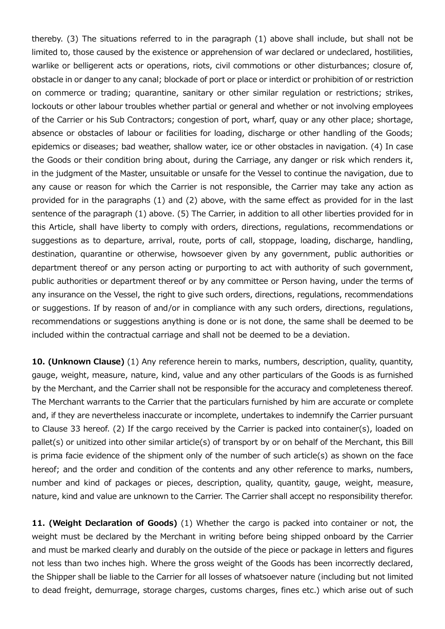thereby. (3) The situations referred to in the paragraph (1) above shall include, but shall not be limited to, those caused by the existence or apprehension of war declared or undeclared, hostilities, warlike or belligerent acts or operations, riots, civil commotions or other disturbances; closure of, obstacle in or danger to any canal; blockade of port or place or interdict or prohibition of or restriction on commerce or trading; quarantine, sanitary or other similar regulation or restrictions; strikes, lockouts or other labour troubles whether partial or general and whether or not involving employees of the Carrier or his Sub Contractors; congestion of port, wharf, quay or any other place; shortage, absence or obstacles of labour or facilities for loading, discharge or other handling of the Goods; epidemics or diseases; bad weather, shallow water, ice or other obstacles in navigation. (4) In case the Goods or their condition bring about, during the Carriage, any danger or risk which renders it, in the judgment of the Master, unsuitable or unsafe for the Vessel to continue the navigation, due to any cause or reason for which the Carrier is not responsible, the Carrier may take any action as provided for in the paragraphs (1) and (2) above, with the same effect as provided for in the last sentence of the paragraph (1) above. (5) The Carrier, in addition to all other liberties provided for in this Article, shall have liberty to comply with orders, directions, regulations, recommendations or suggestions as to departure, arrival, route, ports of call, stoppage, loading, discharge, handling, destination, quarantine or otherwise, howsoever given by any government, public authorities or department thereof or any person acting or purporting to act with authority of such government, public authorities or department thereof or by any committee or Person having, under the terms of any insurance on the Vessel, the right to give such orders, directions, regulations, recommendations or suggestions. If by reason of and/or in compliance with any such orders, directions, regulations, recommendations or suggestions anything is done or is not done, the same shall be deemed to be included within the contractual carriage and shall not be deemed to be a deviation.

10. (Unknown Clause) (1) Any reference herein to marks, numbers, description, quality, quantity, gauge, weight, measure, nature, kind, value and any other particulars of the Goods is as furnished by the Merchant, and the Carrier shall not be responsible for the accuracy and completeness thereof. The Merchant warrants to the Carrier that the particulars furnished by him are accurate or complete and, if they are nevertheless inaccurate or incomplete, undertakes to indemnify the Carrier pursuant to Clause 33 hereof. (2) If the cargo received by the Carrier is packed into container(s), loaded on pallet(s) or unitized into other similar article(s) of transport by or on behalf of the Merchant, this Bill is prima facie evidence of the shipment only of the number of such article(s) as shown on the face hereof; and the order and condition of the contents and any other reference to marks, numbers, number and kind of packages or pieces, description, quality, quantity, gauge, weight, measure, nature, kind and value are unknown to the Carrier. The Carrier shall accept no responsibility therefor.

11. (Weight Declaration of Goods) (1) Whether the cargo is packed into container or not, the weight must be declared by the Merchant in writing before being shipped onboard by the Carrier and must be marked clearly and durably on the outside of the piece or package in letters and figures not less than two inches high. Where the gross weight of the Goods has been incorrectly declared, the Shipper shall be liable to the Carrier for all losses of whatsoever nature (including but not limited to dead freight, demurrage, storage charges, customs charges, fines etc.) which arise out of such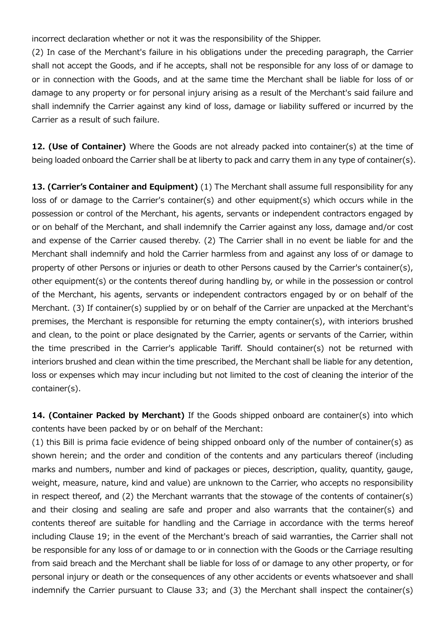incorrect declaration whether or not it was the responsibility of the Shipper.

(2) In case of the Merchant's failure in his obligations under the preceding paragraph, the Carrier shall not accept the Goods, and if he accepts, shall not be responsible for any loss of or damage to or in connection with the Goods, and at the same time the Merchant shall be liable for loss of or damage to any property or for personal injury arising as a result of the Merchant's said failure and shall indemnify the Carrier against any kind of loss, damage or liability suffered or incurred by the Carrier as a result of such failure.

12. (Use of Container) Where the Goods are not already packed into container(s) at the time of being loaded onboard the Carrier shall be at liberty to pack and carry them in any type of container(s).

13. (Carrier's Container and Equipment) (1) The Merchant shall assume full responsibility for any loss of or damage to the Carrier's container(s) and other equipment(s) which occurs while in the possession or control of the Merchant, his agents, servants or independent contractors engaged by or on behalf of the Merchant, and shall indemnify the Carrier against any loss, damage and/or cost and expense of the Carrier caused thereby. (2) The Carrier shall in no event be liable for and the Merchant shall indemnify and hold the Carrier harmless from and against any loss of or damage to property of other Persons or injuries or death to other Persons caused by the Carrier's container(s), other equipment(s) or the contents thereof during handling by, or while in the possession or control of the Merchant, his agents, servants or independent contractors engaged by or on behalf of the Merchant. (3) If container(s) supplied by or on behalf of the Carrier are unpacked at the Merchant's premises, the Merchant is responsible for returning the empty container(s), with interiors brushed and clean, to the point or place designated by the Carrier, agents or servants of the Carrier, within the time prescribed in the Carrier's applicable Tariff. Should container(s) not be returned with interiors brushed and clean within the time prescribed, the Merchant shall be liable for any detention, loss or expenses which may incur including but not limited to the cost of cleaning the interior of the container(s).

14. (Container Packed by Merchant) If the Goods shipped onboard are container(s) into which contents have been packed by or on behalf of the Merchant:

(1) this Bill is prima facie evidence of being shipped onboard only of the number of container(s) as shown herein; and the order and condition of the contents and any particulars thereof (including marks and numbers, number and kind of packages or pieces, description, quality, quantity, gauge, weight, measure, nature, kind and value) are unknown to the Carrier, who accepts no responsibility in respect thereof, and (2) the Merchant warrants that the stowage of the contents of container(s) and their closing and sealing are safe and proper and also warrants that the container(s) and contents thereof are suitable for handling and the Carriage in accordance with the terms hereof including Clause 19; in the event of the Merchant's breach of said warranties, the Carrier shall not be responsible for any loss of or damage to or in connection with the Goods or the Carriage resulting from said breach and the Merchant shall be liable for loss of or damage to any other property, or for personal injury or death or the consequences of any other accidents or events whatsoever and shall indemnify the Carrier pursuant to Clause 33; and (3) the Merchant shall inspect the container(s)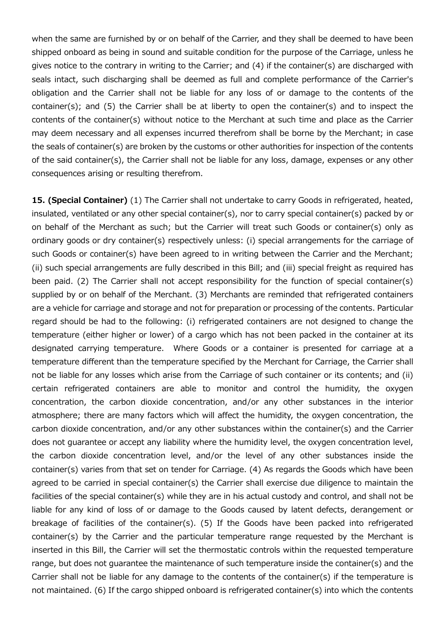when the same are furnished by or on behalf of the Carrier, and they shall be deemed to have been shipped onboard as being in sound and suitable condition for the purpose of the Carriage, unless he gives notice to the contrary in writing to the Carrier; and (4) if the container(s) are discharged with seals intact, such discharging shall be deemed as full and complete performance of the Carrier's obligation and the Carrier shall not be liable for any loss of or damage to the contents of the container(s); and (5) the Carrier shall be at liberty to open the container(s) and to inspect the contents of the container(s) without notice to the Merchant at such time and place as the Carrier may deem necessary and all expenses incurred therefrom shall be borne by the Merchant; in case the seals of container(s) are broken by the customs or other authorities for inspection of the contents of the said container(s), the Carrier shall not be liable for any loss, damage, expenses or any other consequences arising or resulting therefrom.

15. (Special Container) (1) The Carrier shall not undertake to carry Goods in refrigerated, heated, insulated, ventilated or any other special container(s), nor to carry special container(s) packed by or on behalf of the Merchant as such; but the Carrier will treat such Goods or container(s) only as ordinary goods or dry container(s) respectively unless: (i) special arrangements for the carriage of such Goods or container(s) have been agreed to in writing between the Carrier and the Merchant; (ii) such special arrangements are fully described in this Bill; and (iii) special freight as required has been paid. (2) The Carrier shall not accept responsibility for the function of special container(s) supplied by or on behalf of the Merchant. (3) Merchants are reminded that refrigerated containers are a vehicle for carriage and storage and not for preparation or processing of the contents. Particular regard should be had to the following: (i) refrigerated containers are not designed to change the temperature (either higher or lower) of a cargo which has not been packed in the container at its designated carrying temperature. Where Goods or a container is presented for carriage at a temperature different than the temperature specified by the Merchant for Carriage, the Carrier shall not be liable for any losses which arise from the Carriage of such container or its contents; and (ii) certain refrigerated containers are able to monitor and control the humidity, the oxygen concentration, the carbon dioxide concentration, and/or any other substances in the interior atmosphere; there are many factors which will affect the humidity, the oxygen concentration, the carbon dioxide concentration, and/or any other substances within the container(s) and the Carrier does not guarantee or accept any liability where the humidity level, the oxygen concentration level, the carbon dioxide concentration level, and/or the level of any other substances inside the container(s) varies from that set on tender for Carriage. (4) As regards the Goods which have been agreed to be carried in special container(s) the Carrier shall exercise due diligence to maintain the facilities of the special container(s) while they are in his actual custody and control, and shall not be liable for any kind of loss of or damage to the Goods caused by latent defects, derangement or breakage of facilities of the container(s). (5) If the Goods have been packed into refrigerated container(s) by the Carrier and the particular temperature range requested by the Merchant is inserted in this Bill, the Carrier will set the thermostatic controls within the requested temperature range, but does not guarantee the maintenance of such temperature inside the container(s) and the Carrier shall not be liable for any damage to the contents of the container(s) if the temperature is not maintained. (6) If the cargo shipped onboard is refrigerated container(s) into which the contents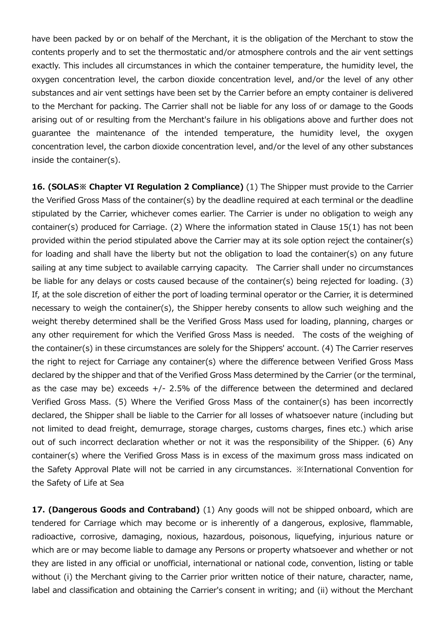have been packed by or on behalf of the Merchant, it is the obligation of the Merchant to stow the contents properly and to set the thermostatic and/or atmosphere controls and the air vent settings exactly. This includes all circumstances in which the container temperature, the humidity level, the oxygen concentration level, the carbon dioxide concentration level, and/or the level of any other substances and air vent settings have been set by the Carrier before an empty container is delivered to the Merchant for packing. The Carrier shall not be liable for any loss of or damage to the Goods arising out of or resulting from the Merchant's failure in his obligations above and further does not guarantee the maintenance of the intended temperature, the humidity level, the oxygen concentration level, the carbon dioxide concentration level, and/or the level of any other substances inside the container(s).

16. (SOLAS<sup>%</sup> Chapter VI Regulation 2 Compliance) (1) The Shipper must provide to the Carrier the Verified Gross Mass of the container(s) by the deadline required at each terminal or the deadline stipulated by the Carrier, whichever comes earlier. The Carrier is under no obligation to weigh any container(s) produced for Carriage. (2) Where the information stated in Clause 15(1) has not been provided within the period stipulated above the Carrier may at its sole option reject the container(s) for loading and shall have the liberty but not the obligation to load the container(s) on any future sailing at any time subject to available carrying capacity. The Carrier shall under no circumstances be liable for any delays or costs caused because of the container(s) being rejected for loading. (3) If, at the sole discretion of either the port of loading terminal operator or the Carrier, it is determined necessary to weigh the container(s), the Shipper hereby consents to allow such weighing and the weight thereby determined shall be the Verified Gross Mass used for loading, planning, charges or any other requirement for which the Verified Gross Mass is needed. The costs of the weighing of the container(s) in these circumstances are solely for the Shippers' account. (4) The Carrier reserves the right to reject for Carriage any container(s) where the difference between Verified Gross Mass declared by the shipper and that of the Verified Gross Mass determined by the Carrier (or the terminal, as the case may be) exceeds  $+/$ - 2.5% of the difference between the determined and declared Verified Gross Mass. (5) Where the Verified Gross Mass of the container(s) has been incorrectly declared, the Shipper shall be liable to the Carrier for all losses of whatsoever nature (including but not limited to dead freight, demurrage, storage charges, customs charges, fines etc.) which arise out of such incorrect declaration whether or not it was the responsibility of the Shipper. (6) Any container(s) where the Verified Gross Mass is in excess of the maximum gross mass indicated on the Safety Approval Plate will not be carried in any circumstances. ※International Convention for the Safety of Life at Sea

17. (Dangerous Goods and Contraband) (1) Any goods will not be shipped onboard, which are tendered for Carriage which may become or is inherently of a dangerous, explosive, flammable, radioactive, corrosive, damaging, noxious, hazardous, poisonous, liquefying, injurious nature or which are or may become liable to damage any Persons or property whatsoever and whether or not they are listed in any official or unofficial, international or national code, convention, listing or table without (i) the Merchant giving to the Carrier prior written notice of their nature, character, name, label and classification and obtaining the Carrier's consent in writing; and (ii) without the Merchant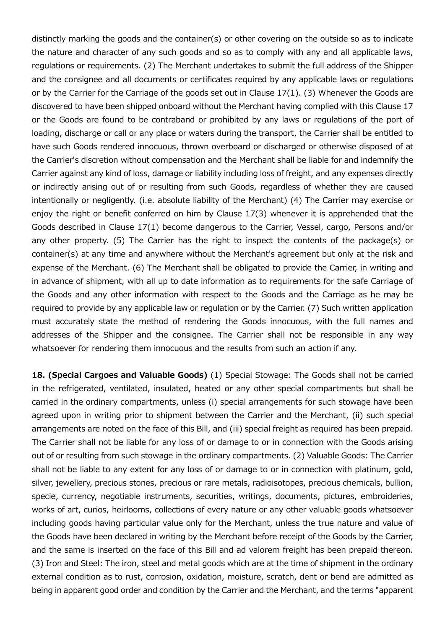distinctly marking the goods and the container(s) or other covering on the outside so as to indicate the nature and character of any such goods and so as to comply with any and all applicable laws, regulations or requirements. (2) The Merchant undertakes to submit the full address of the Shipper and the consignee and all documents or certificates required by any applicable laws or regulations or by the Carrier for the Carriage of the goods set out in Clause 17(1). (3) Whenever the Goods are discovered to have been shipped onboard without the Merchant having complied with this Clause 17 or the Goods are found to be contraband or prohibited by any laws or regulations of the port of loading, discharge or call or any place or waters during the transport, the Carrier shall be entitled to have such Goods rendered innocuous, thrown overboard or discharged or otherwise disposed of at the Carrier's discretion without compensation and the Merchant shall be liable for and indemnify the Carrier against any kind of loss, damage or liability including loss of freight, and any expenses directly or indirectly arising out of or resulting from such Goods, regardless of whether they are caused intentionally or negligently. (i.e. absolute liability of the Merchant) (4) The Carrier may exercise or enjoy the right or benefit conferred on him by Clause 17(3) whenever it is apprehended that the Goods described in Clause 17(1) become dangerous to the Carrier, Vessel, cargo, Persons and/or any other property. (5) The Carrier has the right to inspect the contents of the package(s) or container(s) at any time and anywhere without the Merchant's agreement but only at the risk and expense of the Merchant. (6) The Merchant shall be obligated to provide the Carrier, in writing and in advance of shipment, with all up to date information as to requirements for the safe Carriage of the Goods and any other information with respect to the Goods and the Carriage as he may be required to provide by any applicable law or regulation or by the Carrier. (7) Such written application must accurately state the method of rendering the Goods innocuous, with the full names and addresses of the Shipper and the consignee. The Carrier shall not be responsible in any way whatsoever for rendering them innocuous and the results from such an action if any.

18. (Special Cargoes and Valuable Goods) (1) Special Stowage: The Goods shall not be carried in the refrigerated, ventilated, insulated, heated or any other special compartments but shall be carried in the ordinary compartments, unless (i) special arrangements for such stowage have been agreed upon in writing prior to shipment between the Carrier and the Merchant, (ii) such special arrangements are noted on the face of this Bill, and (iii) special freight as required has been prepaid. The Carrier shall not be liable for any loss of or damage to or in connection with the Goods arising out of or resulting from such stowage in the ordinary compartments. (2) Valuable Goods: The Carrier shall not be liable to any extent for any loss of or damage to or in connection with platinum, gold, silver, jewellery, precious stones, precious or rare metals, radioisotopes, precious chemicals, bullion, specie, currency, negotiable instruments, securities, writings, documents, pictures, embroideries, works of art, curios, heirlooms, collections of every nature or any other valuable goods whatsoever including goods having particular value only for the Merchant, unless the true nature and value of the Goods have been declared in writing by the Merchant before receipt of the Goods by the Carrier, and the same is inserted on the face of this Bill and ad valorem freight has been prepaid thereon. (3) Iron and Steel: The iron, steel and metal goods which are at the time of shipment in the ordinary external condition as to rust, corrosion, oxidation, moisture, scratch, dent or bend are admitted as being in apparent good order and condition by the Carrier and the Merchant, and the terms "apparent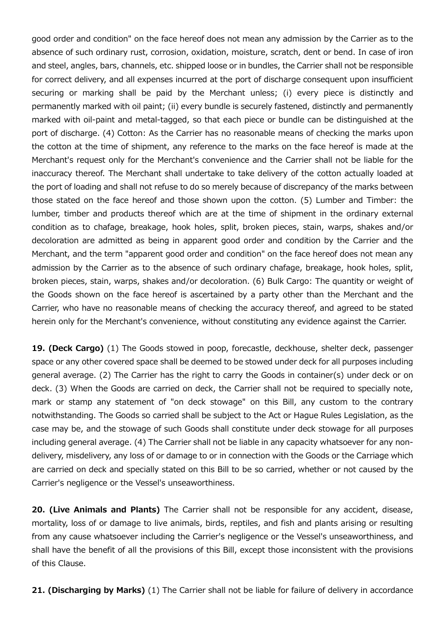good order and condition" on the face hereof does not mean any admission by the Carrier as to the absence of such ordinary rust, corrosion, oxidation, moisture, scratch, dent or bend. In case of iron and steel, angles, bars, channels, etc. shipped loose or in bundles, the Carrier shall not be responsible for correct delivery, and all expenses incurred at the port of discharge consequent upon insufficient securing or marking shall be paid by the Merchant unless; (i) every piece is distinctly and permanently marked with oil paint; (ii) every bundle is securely fastened, distinctly and permanently marked with oil-paint and metal-tagged, so that each piece or bundle can be distinguished at the port of discharge. (4) Cotton: As the Carrier has no reasonable means of checking the marks upon the cotton at the time of shipment, any reference to the marks on the face hereof is made at the Merchant's request only for the Merchant's convenience and the Carrier shall not be liable for the inaccuracy thereof. The Merchant shall undertake to take delivery of the cotton actually loaded at the port of loading and shall not refuse to do so merely because of discrepancy of the marks between those stated on the face hereof and those shown upon the cotton. (5) Lumber and Timber: the lumber, timber and products thereof which are at the time of shipment in the ordinary external condition as to chafage, breakage, hook holes, split, broken pieces, stain, warps, shakes and/or decoloration are admitted as being in apparent good order and condition by the Carrier and the Merchant, and the term "apparent good order and condition" on the face hereof does not mean any admission by the Carrier as to the absence of such ordinary chafage, breakage, hook holes, split, broken pieces, stain, warps, shakes and/or decoloration. (6) Bulk Cargo: The quantity or weight of the Goods shown on the face hereof is ascertained by a party other than the Merchant and the Carrier, who have no reasonable means of checking the accuracy thereof, and agreed to be stated herein only for the Merchant's convenience, without constituting any evidence against the Carrier.

19. (Deck Cargo) (1) The Goods stowed in poop, forecastle, deckhouse, shelter deck, passenger space or any other covered space shall be deemed to be stowed under deck for all purposes including general average. (2) The Carrier has the right to carry the Goods in container(s) under deck or on deck. (3) When the Goods are carried on deck, the Carrier shall not be required to specially note, mark or stamp any statement of "on deck stowage" on this Bill, any custom to the contrary notwithstanding. The Goods so carried shall be subject to the Act or Hague Rules Legislation, as the case may be, and the stowage of such Goods shall constitute under deck stowage for all purposes including general average. (4) The Carrier shall not be liable in any capacity whatsoever for any nondelivery, misdelivery, any loss of or damage to or in connection with the Goods or the Carriage which are carried on deck and specially stated on this Bill to be so carried, whether or not caused by the Carrier's negligence or the Vessel's unseaworthiness.

20. (Live Animals and Plants) The Carrier shall not be responsible for any accident, disease, mortality, loss of or damage to live animals, birds, reptiles, and fish and plants arising or resulting from any cause whatsoever including the Carrier's negligence or the Vessel's unseaworthiness, and shall have the benefit of all the provisions of this Bill, except those inconsistent with the provisions of this Clause.

21. (Discharging by Marks) (1) The Carrier shall not be liable for failure of delivery in accordance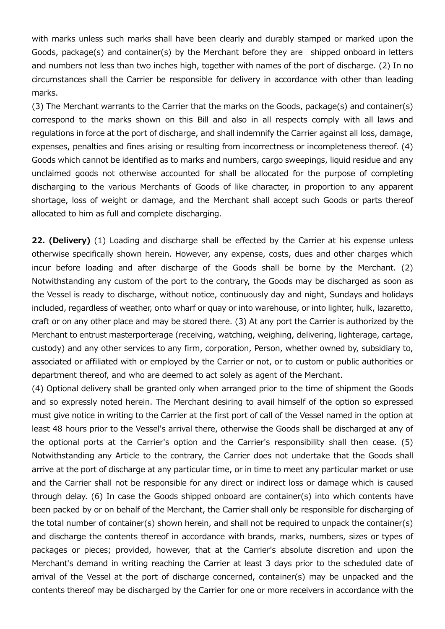with marks unless such marks shall have been clearly and durably stamped or marked upon the Goods, package(s) and container(s) by the Merchant before they are shipped onboard in letters and numbers not less than two inches high, together with names of the port of discharge. (2) In no circumstances shall the Carrier be responsible for delivery in accordance with other than leading marks.

(3) The Merchant warrants to the Carrier that the marks on the Goods, package(s) and container(s) correspond to the marks shown on this Bill and also in all respects comply with all laws and regulations in force at the port of discharge, and shall indemnify the Carrier against all loss, damage, expenses, penalties and fines arising or resulting from incorrectness or incompleteness thereof. (4) Goods which cannot be identified as to marks and numbers, cargo sweepings, liquid residue and any unclaimed goods not otherwise accounted for shall be allocated for the purpose of completing discharging to the various Merchants of Goods of like character, in proportion to any apparent shortage, loss of weight or damage, and the Merchant shall accept such Goods or parts thereof allocated to him as full and complete discharging.

22. (Delivery) (1) Loading and discharge shall be effected by the Carrier at his expense unless otherwise specifically shown herein. However, any expense, costs, dues and other charges which incur before loading and after discharge of the Goods shall be borne by the Merchant. (2) Notwithstanding any custom of the port to the contrary, the Goods may be discharged as soon as the Vessel is ready to discharge, without notice, continuously day and night, Sundays and holidays included, regardless of weather, onto wharf or quay or into warehouse, or into lighter, hulk, lazaretto, craft or on any other place and may be stored there. (3) At any port the Carrier is authorized by the Merchant to entrust masterporterage (receiving, watching, weighing, delivering, lighterage, cartage, custody) and any other services to any firm, corporation, Person, whether owned by, subsidiary to, associated or affiliated with or employed by the Carrier or not, or to custom or public authorities or department thereof, and who are deemed to act solely as agent of the Merchant.

(4) Optional delivery shall be granted only when arranged prior to the time of shipment the Goods and so expressly noted herein. The Merchant desiring to avail himself of the option so expressed must give notice in writing to the Carrier at the first port of call of the Vessel named in the option at least 48 hours prior to the Vessel's arrival there, otherwise the Goods shall be discharged at any of the optional ports at the Carrier's option and the Carrier's responsibility shall then cease. (5) Notwithstanding any Article to the contrary, the Carrier does not undertake that the Goods shall arrive at the port of discharge at any particular time, or in time to meet any particular market or use and the Carrier shall not be responsible for any direct or indirect loss or damage which is caused through delay. (6) In case the Goods shipped onboard are container(s) into which contents have been packed by or on behalf of the Merchant, the Carrier shall only be responsible for discharging of the total number of container(s) shown herein, and shall not be required to unpack the container(s) and discharge the contents thereof in accordance with brands, marks, numbers, sizes or types of packages or pieces; provided, however, that at the Carrier's absolute discretion and upon the Merchant's demand in writing reaching the Carrier at least 3 days prior to the scheduled date of arrival of the Vessel at the port of discharge concerned, container(s) may be unpacked and the contents thereof may be discharged by the Carrier for one or more receivers in accordance with the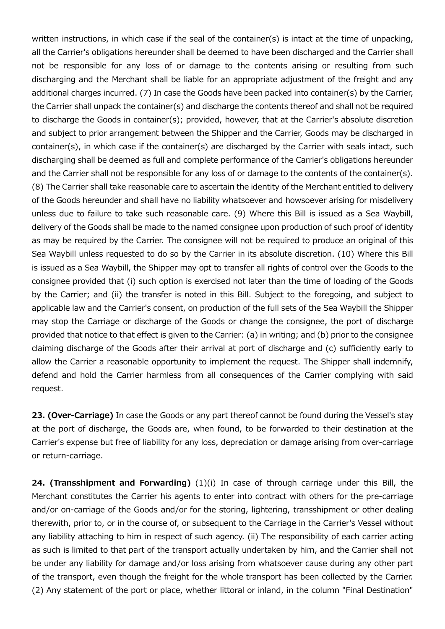written instructions, in which case if the seal of the container(s) is intact at the time of unpacking, all the Carrier's obligations hereunder shall be deemed to have been discharged and the Carrier shall not be responsible for any loss of or damage to the contents arising or resulting from such discharging and the Merchant shall be liable for an appropriate adjustment of the freight and any additional charges incurred. (7) In case the Goods have been packed into container(s) by the Carrier, the Carrier shall unpack the container(s) and discharge the contents thereof and shall not be required to discharge the Goods in container(s); provided, however, that at the Carrier's absolute discretion and subject to prior arrangement between the Shipper and the Carrier, Goods may be discharged in container(s), in which case if the container(s) are discharged by the Carrier with seals intact, such discharging shall be deemed as full and complete performance of the Carrier's obligations hereunder and the Carrier shall not be responsible for any loss of or damage to the contents of the container(s). (8) The Carrier shall take reasonable care to ascertain the identity of the Merchant entitled to delivery of the Goods hereunder and shall have no liability whatsoever and howsoever arising for misdelivery unless due to failure to take such reasonable care. (9) Where this Bill is issued as a Sea Waybill, delivery of the Goods shall be made to the named consignee upon production of such proof of identity as may be required by the Carrier. The consignee will not be required to produce an original of this Sea Waybill unless requested to do so by the Carrier in its absolute discretion. (10) Where this Bill is issued as a Sea Waybill, the Shipper may opt to transfer all rights of control over the Goods to the consignee provided that (i) such option is exercised not later than the time of loading of the Goods by the Carrier; and (ii) the transfer is noted in this Bill. Subject to the foregoing, and subject to applicable law and the Carrier's consent, on production of the full sets of the Sea Waybill the Shipper may stop the Carriage or discharge of the Goods or change the consignee, the port of discharge provided that notice to that effect is given to the Carrier: (a) in writing; and (b) prior to the consignee claiming discharge of the Goods after their arrival at port of discharge and (c) sufficiently early to allow the Carrier a reasonable opportunity to implement the request. The Shipper shall indemnify, defend and hold the Carrier harmless from all consequences of the Carrier complying with said request.

23. (Over-Carriage) In case the Goods or any part thereof cannot be found during the Vessel's stay at the port of discharge, the Goods are, when found, to be forwarded to their destination at the Carrier's expense but free of liability for any loss, depreciation or damage arising from over-carriage or return-carriage.

24. (Transshipment and Forwarding) (1)(i) In case of through carriage under this Bill, the Merchant constitutes the Carrier his agents to enter into contract with others for the pre-carriage and/or on-carriage of the Goods and/or for the storing, lightering, transshipment or other dealing therewith, prior to, or in the course of, or subsequent to the Carriage in the Carrier's Vessel without any liability attaching to him in respect of such agency. (ii) The responsibility of each carrier acting as such is limited to that part of the transport actually undertaken by him, and the Carrier shall not be under any liability for damage and/or loss arising from whatsoever cause during any other part of the transport, even though the freight for the whole transport has been collected by the Carrier. (2) Any statement of the port or place, whether littoral or inland, in the column "Final Destination"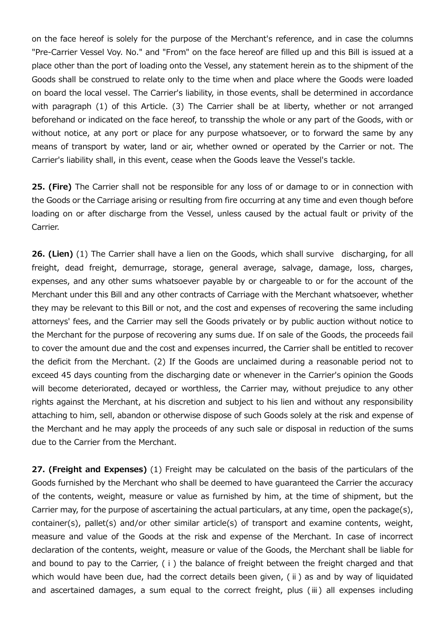on the face hereof is solely for the purpose of the Merchant's reference, and in case the columns "Pre-Carrier Vessel Voy. No." and "From" on the face hereof are filled up and this Bill is issued at a place other than the port of loading onto the Vessel, any statement herein as to the shipment of the Goods shall be construed to relate only to the time when and place where the Goods were loaded on board the local vessel. The Carrier's liability, in those events, shall be determined in accordance with paragraph (1) of this Article. (3) The Carrier shall be at liberty, whether or not arranged beforehand or indicated on the face hereof, to transship the whole or any part of the Goods, with or without notice, at any port or place for any purpose whatsoever, or to forward the same by any means of transport by water, land or air, whether owned or operated by the Carrier or not. The Carrier's liability shall, in this event, cease when the Goods leave the Vessel's tackle.

25. (Fire) The Carrier shall not be responsible for any loss of or damage to or in connection with the Goods or the Carriage arising or resulting from fire occurring at any time and even though before loading on or after discharge from the Vessel, unless caused by the actual fault or privity of the Carrier.

26. (Lien) (1) The Carrier shall have a lien on the Goods, which shall survive discharging, for all freight, dead freight, demurrage, storage, general average, salvage, damage, loss, charges, expenses, and any other sums whatsoever payable by or chargeable to or for the account of the Merchant under this Bill and any other contracts of Carriage with the Merchant whatsoever, whether they may be relevant to this Bill or not, and the cost and expenses of recovering the same including attorneys' fees, and the Carrier may sell the Goods privately or by public auction without notice to the Merchant for the purpose of recovering any sums due. If on sale of the Goods, the proceeds fail to cover the amount due and the cost and expenses incurred, the Carrier shall be entitled to recover the deficit from the Merchant. (2) If the Goods are unclaimed during a reasonable period not to exceed 45 days counting from the discharging date or whenever in the Carrier's opinion the Goods will become deteriorated, decayed or worthless, the Carrier may, without prejudice to any other rights against the Merchant, at his discretion and subject to his lien and without any responsibility attaching to him, sell, abandon or otherwise dispose of such Goods solely at the risk and expense of the Merchant and he may apply the proceeds of any such sale or disposal in reduction of the sums due to the Carrier from the Merchant.

27. (Freight and Expenses) (1) Freight may be calculated on the basis of the particulars of the Goods furnished by the Merchant who shall be deemed to have guaranteed the Carrier the accuracy of the contents, weight, measure or value as furnished by him, at the time of shipment, but the Carrier may, for the purpose of ascertaining the actual particulars, at any time, open the package(s), container(s), pallet(s) and/or other similar article(s) of transport and examine contents, weight, measure and value of the Goods at the risk and expense of the Merchant. In case of incorrect declaration of the contents, weight, measure or value of the Goods, the Merchant shall be liable for and bound to pay to the Carrier, (i) the balance of freight between the freight charged and that which would have been due, had the correct details been given, (ⅱ) as and by way of liquidated and ascertained damages, a sum equal to the correct freight, plus (ⅲ) all expenses including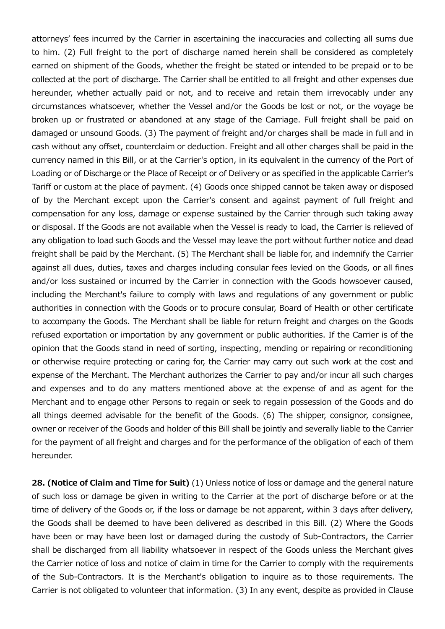attorneys' fees incurred by the Carrier in ascertaining the inaccuracies and collecting all sums due to him. (2) Full freight to the port of discharge named herein shall be considered as completely earned on shipment of the Goods, whether the freight be stated or intended to be prepaid or to be collected at the port of discharge. The Carrier shall be entitled to all freight and other expenses due hereunder, whether actually paid or not, and to receive and retain them irrevocably under any circumstances whatsoever, whether the Vessel and/or the Goods be lost or not, or the voyage be broken up or frustrated or abandoned at any stage of the Carriage. Full freight shall be paid on damaged or unsound Goods. (3) The payment of freight and/or charges shall be made in full and in cash without any offset, counterclaim or deduction. Freight and all other charges shall be paid in the currency named in this Bill, or at the Carrier's option, in its equivalent in the currency of the Port of Loading or of Discharge or the Place of Receipt or of Delivery or as specified in the applicable Carrier's Tariff or custom at the place of payment. (4) Goods once shipped cannot be taken away or disposed of by the Merchant except upon the Carrier's consent and against payment of full freight and compensation for any loss, damage or expense sustained by the Carrier through such taking away or disposal. If the Goods are not available when the Vessel is ready to load, the Carrier is relieved of any obligation to load such Goods and the Vessel may leave the port without further notice and dead freight shall be paid by the Merchant. (5) The Merchant shall be liable for, and indemnify the Carrier against all dues, duties, taxes and charges including consular fees levied on the Goods, or all fines and/or loss sustained or incurred by the Carrier in connection with the Goods howsoever caused, including the Merchant's failure to comply with laws and regulations of any government or public authorities in connection with the Goods or to procure consular, Board of Health or other certificate to accompany the Goods. The Merchant shall be liable for return freight and charges on the Goods refused exportation or importation by any government or public authorities. If the Carrier is of the opinion that the Goods stand in need of sorting, inspecting, mending or repairing or reconditioning or otherwise require protecting or caring for, the Carrier may carry out such work at the cost and expense of the Merchant. The Merchant authorizes the Carrier to pay and/or incur all such charges and expenses and to do any matters mentioned above at the expense of and as agent for the Merchant and to engage other Persons to regain or seek to regain possession of the Goods and do all things deemed advisable for the benefit of the Goods. (6) The shipper, consignor, consignee, owner or receiver of the Goods and holder of this Bill shall be jointly and severally liable to the Carrier for the payment of all freight and charges and for the performance of the obligation of each of them hereunder.

28. (Notice of Claim and Time for Suit) (1) Unless notice of loss or damage and the general nature of such loss or damage be given in writing to the Carrier at the port of discharge before or at the time of delivery of the Goods or, if the loss or damage be not apparent, within 3 days after delivery, the Goods shall be deemed to have been delivered as described in this Bill. (2) Where the Goods have been or may have been lost or damaged during the custody of Sub-Contractors, the Carrier shall be discharged from all liability whatsoever in respect of the Goods unless the Merchant gives the Carrier notice of loss and notice of claim in time for the Carrier to comply with the requirements of the Sub-Contractors. It is the Merchant's obligation to inquire as to those requirements. The Carrier is not obligated to volunteer that information. (3) In any event, despite as provided in Clause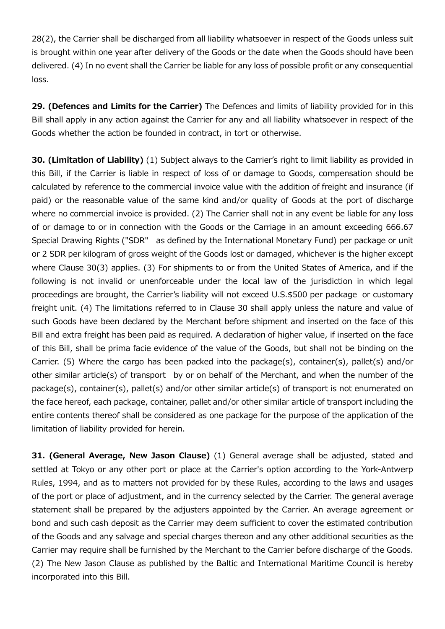28(2), the Carrier shall be discharged from all liability whatsoever in respect of the Goods unless suit is brought within one year after delivery of the Goods or the date when the Goods should have been delivered. (4) In no event shall the Carrier be liable for any loss of possible profit or any consequential loss.

29. (Defences and Limits for the Carrier) The Defences and limits of liability provided for in this Bill shall apply in any action against the Carrier for any and all liability whatsoever in respect of the Goods whether the action be founded in contract, in tort or otherwise.

30. (Limitation of Liability) (1) Subject always to the Carrier's right to limit liability as provided in this Bill, if the Carrier is liable in respect of loss of or damage to Goods, compensation should be calculated by reference to the commercial invoice value with the addition of freight and insurance (if paid) or the reasonable value of the same kind and/or quality of Goods at the port of discharge where no commercial invoice is provided. (2) The Carrier shall not in any event be liable for any loss of or damage to or in connection with the Goods or the Carriage in an amount exceeding 666.67 Special Drawing Rights ("SDR" as defined by the International Monetary Fund) per package or unit or 2 SDR per kilogram of gross weight of the Goods lost or damaged, whichever is the higher except where Clause 30(3) applies. (3) For shipments to or from the United States of America, and if the following is not invalid or unenforceable under the local law of the jurisdiction in which legal proceedings are brought, the Carrier's liability will not exceed U.S.\$500 per package or customary freight unit. (4) The limitations referred to in Clause 30 shall apply unless the nature and value of such Goods have been declared by the Merchant before shipment and inserted on the face of this Bill and extra freight has been paid as required. A declaration of higher value, if inserted on the face of this Bill, shall be prima facie evidence of the value of the Goods, but shall not be binding on the Carrier. (5) Where the cargo has been packed into the package(s), container(s), pallet(s) and/or other similar article(s) of transport by or on behalf of the Merchant, and when the number of the package(s), container(s), pallet(s) and/or other similar article(s) of transport is not enumerated on the face hereof, each package, container, pallet and/or other similar article of transport including the entire contents thereof shall be considered as one package for the purpose of the application of the limitation of liability provided for herein.

31. (General Average, New Jason Clause) (1) General average shall be adjusted, stated and settled at Tokyo or any other port or place at the Carrier's option according to the York-Antwerp Rules, 1994, and as to matters not provided for by these Rules, according to the laws and usages of the port or place of adjustment, and in the currency selected by the Carrier. The general average statement shall be prepared by the adjusters appointed by the Carrier. An average agreement or bond and such cash deposit as the Carrier may deem sufficient to cover the estimated contribution of the Goods and any salvage and special charges thereon and any other additional securities as the Carrier may require shall be furnished by the Merchant to the Carrier before discharge of the Goods. (2) The New Jason Clause as published by the Baltic and International Maritime Council is hereby incorporated into this Bill.